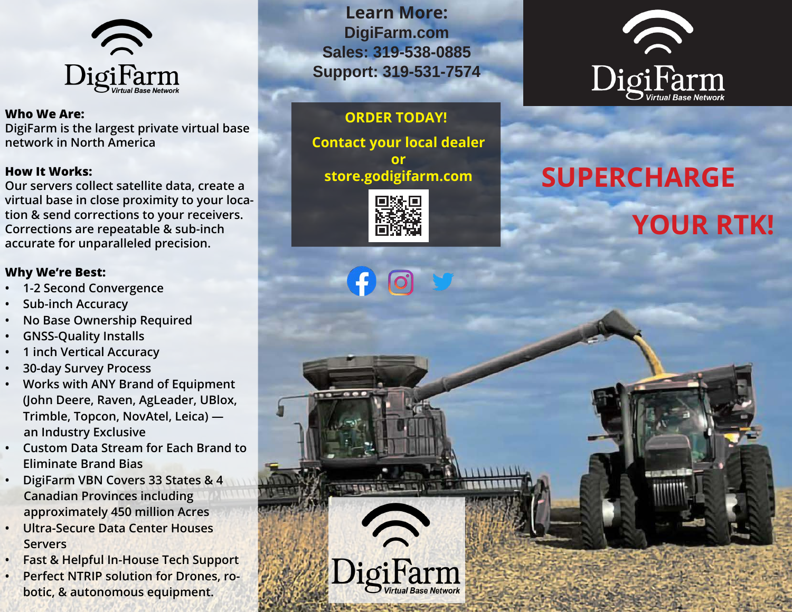

#### **Who We Are:**

**DigiFarm is the largest private virtual base network in North America**

#### **How It Works:**

**Our servers collect satellite data, create a virtual base in close proximity to your location & send corrections to your receivers. Corrections are repeatable & sub-inch accurate for unparalleled precision.**

#### **Why We're Best:**

- **• 1-2 Second Convergence**
- **• Sub-inch Accuracy**
- **• No Base Ownership Required**
- **• GNSS-Quality Installs**
- **• 1 inch Vertical Accuracy**
- **• 30-day Survey Process**
- **• Works with ANY Brand of Equipment (John Deere, Raven, AgLeader, UBlox, Trimble, Topcon, NovAtel, Leica) an Industry Exclusive**
- **• Custom Data Stream for Each Brand to Eliminate Brand Bias**
- **• DigiFarm VBN Covers 33 States & 4 Canadian Provinces including approximately 450 million Acres**
- **• Ultra-Secure Data Center Houses Servers**
- **• Fast & Helpful In-House Tech Support**
- **• Perfect NTRIP solution for Drones, robotic, & autonomous equipment.**

**Learn More: DigiFarm.com Sales: 319-538-0885 Support: 319-531-7574**

# **ORDER TODAY!**

**Contact your local dealer or store.godigifarm.com**



gifarm

**TALLER** 



# **SUPERCHARGE YOUR RTK!**